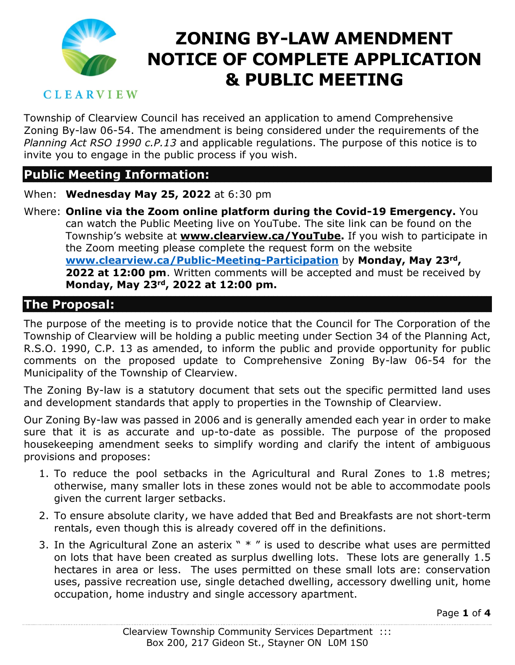

#### **CLEARVIEW**

Township of Clearview Council has received an application to amend Comprehensive Zoning By-law 06-54. The amendment is being considered under the requirements of the *Planning Act RSO 1990 c.P.13* and applicable regulations. The purpose of this notice is to invite you to engage in the public process if you wish.

#### **Public Meeting Information:**

When: **Wednesday May 25, 2022** at 6:30 pm

Where: **Online via the Zoom online platform during the Covid-19 Emergency.** You can watch the Public Meeting live on YouTube. The site link can be found on the Township's website at **www.clearview.ca/YouTube.** If you wish to participate in the Zoom meeting please complete the request form on the website **[www.clearview.ca/Public-Meeting-Participation](http://www.clearview.ca/Public-Meeting-Participation)** by **Monday, May 23rd, 2022 at 12:00 pm**. Written comments will be accepted and must be received by **Monday, May 23rd, 2022 at 12:00 pm.**

#### **The Proposal:**

The purpose of the meeting is to provide notice that the Council for The Corporation of the Township of Clearview will be holding a public meeting under Section 34 of the Planning Act, R.S.O. 1990, C.P. 13 as amended, to inform the public and provide opportunity for public comments on the proposed update to Comprehensive Zoning By-law 06-54 for the Municipality of the Township of Clearview.

The Zoning By-law is a statutory document that sets out the specific permitted land uses and development standards that apply to properties in the Township of Clearview.

Our Zoning By-law was passed in 2006 and is generally amended each year in order to make sure that it is as accurate and up-to-date as possible. The purpose of the proposed housekeeping amendment seeks to simplify wording and clarify the intent of ambiguous provisions and proposes:

- 1. To reduce the pool setbacks in the Agricultural and Rural Zones to 1.8 metres; otherwise, many smaller lots in these zones would not be able to accommodate pools given the current larger setbacks.
- 2. To ensure absolute clarity, we have added that Bed and Breakfasts are not short-term rentals, even though this is already covered off in the definitions.
- 3. In the Agricultural Zone an asterix  $" * "$  is used to describe what uses are permitted on lots that have been created as surplus dwelling lots. These lots are generally 1.5 hectares in area or less. The uses permitted on these small lots are: conservation uses, passive recreation use, single detached dwelling, accessory dwelling unit, home occupation, home industry and single accessory apartment.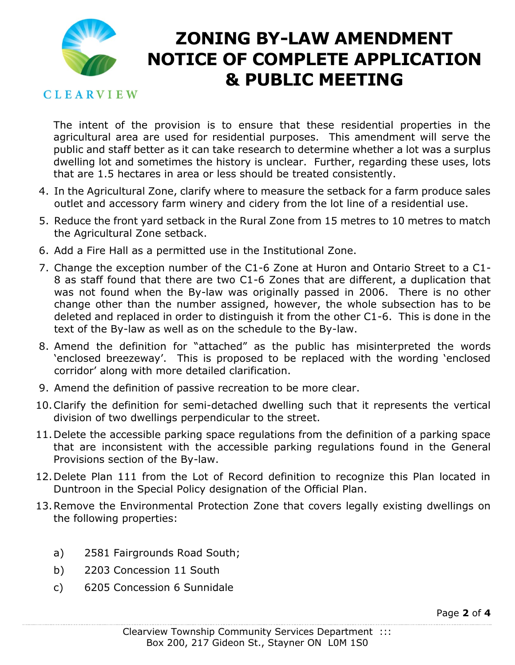

#### **CLEARVIEW**

The intent of the provision is to ensure that these residential properties in the agricultural area are used for residential purposes. This amendment will serve the public and staff better as it can take research to determine whether a lot was a surplus dwelling lot and sometimes the history is unclear. Further, regarding these uses, lots that are 1.5 hectares in area or less should be treated consistently.

- 4. In the Agricultural Zone, clarify where to measure the setback for a farm produce sales outlet and accessory farm winery and cidery from the lot line of a residential use.
- 5. Reduce the front yard setback in the Rural Zone from 15 metres to 10 metres to match the Agricultural Zone setback.
- 6. Add a Fire Hall as a permitted use in the Institutional Zone.
- 7. Change the exception number of the C1-6 Zone at Huron and Ontario Street to a C1- 8 as staff found that there are two C1-6 Zones that are different, a duplication that was not found when the By-law was originally passed in 2006. There is no other change other than the number assigned, however, the whole subsection has to be deleted and replaced in order to distinguish it from the other C1-6. This is done in the text of the By-law as well as on the schedule to the By-law.
- 8. Amend the definition for "attached" as the public has misinterpreted the words 'enclosed breezeway'. This is proposed to be replaced with the wording 'enclosed corridor' along with more detailed clarification.
- 9. Amend the definition of passive recreation to be more clear.
- 10.Clarify the definition for semi-detached dwelling such that it represents the vertical division of two dwellings perpendicular to the street.
- 11.Delete the accessible parking space regulations from the definition of a parking space that are inconsistent with the accessible parking regulations found in the General Provisions section of the By-law.
- 12.Delete Plan 111 from the Lot of Record definition to recognize this Plan located in Duntroon in the Special Policy designation of the Official Plan.
- 13.Remove the Environmental Protection Zone that covers legally existing dwellings on the following properties:
	- a) 2581 Fairgrounds Road South;
	- b) 2203 Concession 11 South
	- c) 6205 Concession 6 Sunnidale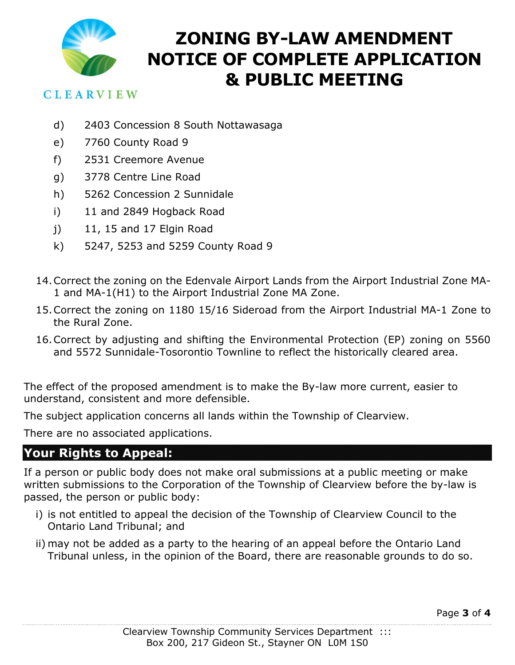

#### **CLEARVIEW**

- d) 2403 Concession 8 South Nottawasaga
- e) 7760 County Road 9
- f) 2531 Creemore Avenue
- g) 3778 Centre Line Road
- h) 5262 Concession 2 Sunnidale
- i) 11 and 2849 Hogback Road
- j) 11, 15 and 17 Elgin Road
- k) 5247, 5253 and 5259 County Road 9
- 14.Correct the zoning on the Edenvale Airport Lands from the Airport Industrial Zone MA-1 and MA-1(H1) to the Airport Industrial Zone MA Zone.
- 15.Correct the zoning on 1180 15/16 Sideroad from the Airport Industrial MA-1 Zone to the Rural Zone.
- 16.Correct by adjusting and shifting the Environmental Protection (EP) zoning on 5560 and 5572 Sunnidale-Tosorontio Townline to reflect the historically cleared area.

The effect of the proposed amendment is to make the By-law more current, easier to understand, consistent and more defensible.

The subject application concerns all lands within the Township of Clearview.

There are no associated applications.

### **Your Rights to Appeal:**

If a person or public body does not make oral submissions at a public meeting or make written submissions to the Corporation of the Township of Clearview before the by-law is passed, the person or public body:

- i) is not entitled to appeal the decision of the Township of Clearview Council to the Ontario Land Tribunal; and
- ii) may not be added as a party to the hearing of an appeal before the Ontario Land Tribunal unless, in the opinion of the Board, there are reasonable grounds to do so.